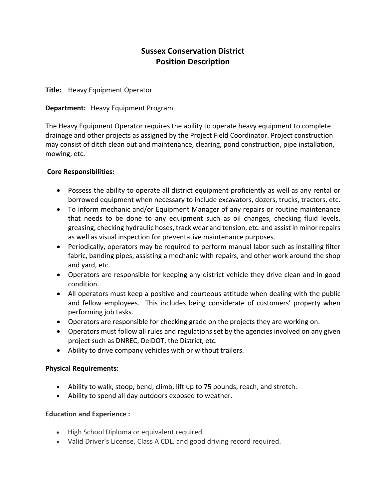# **Sussex Conservation District Position Description**

#### **Title:** Heavy Equipment Operator

#### **Department:** Heavy Equipment Program

The Heavy Equipment Operator requires the ability to operate heavy equipment to complete drainage and other projects as assigned by the Project Field Coordinator. Project construction may consist of ditch clean out and maintenance, clearing, pond construction, pipe installation, mowing, etc.

#### **Core Responsibilities:**

- Possess the ability to operate all district equipment proficiently as well as any rental or borrowed equipment when necessary to include excavators, dozers, trucks, tractors, etc.
- To inform mechanic and/or Equipment Manager of any repairs or routine maintenance that needs to be done to any equipment such as oil changes, checking fluid levels, greasing, checking hydraulic hoses, track wear and tension, etc. and assist in minor repairs as well as visual inspection for preventative maintenance purposes.
- Periodically, operators may be required to perform manual labor such as installing filter fabric, banding pipes, assisting a mechanic with repairs, and other work around the shop and yard, etc.
- Operators are responsible for keeping any district vehicle they drive clean and in good condition.
- All operators must keep a positive and courteous attitude when dealing with the public and fellow employees. This includes being considerate of customers' property when performing job tasks.
- Operators are responsible for checking grade on the projects they are working on.
- Operators must follow all rules and regulations set by the agencies involved on any given project such as DNREC, DelDOT, the District, etc.
- Ability to drive company vehicles with or without trailers.

#### **Physical Requirements:**

- Ability to walk, stoop, bend, climb, lift up to 75 pounds, reach, and stretch.
- Ability to spend all day outdoors exposed to weather.

#### **Education and Experience :**

- High School Diploma or equivalent required.
- Valid Driver's License, Class A CDL, and good driving record required.